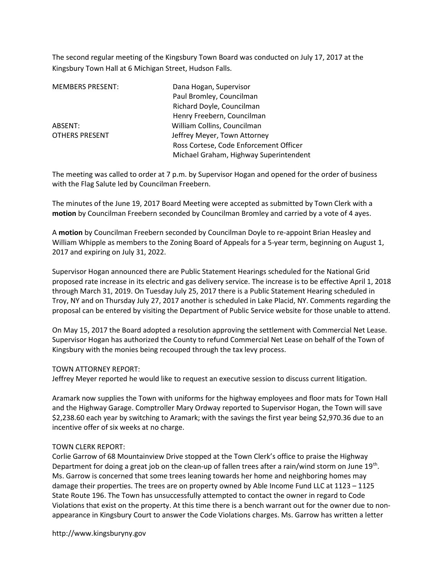The second regular meeting of the Kingsbury Town Board was conducted on July 17, 2017 at the Kingsbury Town Hall at 6 Michigan Street, Hudson Falls.

| <b>MEMBERS PRESENT:</b> | Dana Hogan, Supervisor                 |
|-------------------------|----------------------------------------|
|                         | Paul Bromley, Councilman               |
|                         | Richard Doyle, Councilman              |
|                         | Henry Freebern, Councilman             |
| ABSENT:                 | William Collins, Councilman            |
| OTHERS PRESENT          | Jeffrey Meyer, Town Attorney           |
|                         | Ross Cortese, Code Enforcement Officer |
|                         | Michael Graham, Highway Superintendent |

The meeting was called to order at 7 p.m. by Supervisor Hogan and opened for the order of business with the Flag Salute led by Councilman Freebern.

The minutes of the June 19, 2017 Board Meeting were accepted as submitted by Town Clerk with a motion by Councilman Freebern seconded by Councilman Bromley and carried by a vote of 4 ayes.

A motion by Councilman Freebern seconded by Councilman Doyle to re-appoint Brian Heasley and William Whipple as members to the Zoning Board of Appeals for a 5-year term, beginning on August 1, 2017 and expiring on July 31, 2022.

Supervisor Hogan announced there are Public Statement Hearings scheduled for the National Grid proposed rate increase in its electric and gas delivery service. The increase is to be effective April 1, 2018 through March 31, 2019. On Tuesday July 25, 2017 there is a Public Statement Hearing scheduled in Troy, NY and on Thursday July 27, 2017 another is scheduled in Lake Placid, NY. Comments regarding the proposal can be entered by visiting the Department of Public Service website for those unable to attend.

On May 15, 2017 the Board adopted a resolution approving the settlement with Commercial Net Lease. Supervisor Hogan has authorized the County to refund Commercial Net Lease on behalf of the Town of Kingsbury with the monies being recouped through the tax levy process.

## TOWN ATTORNEY REPORT:

Jeffrey Meyer reported he would like to request an executive session to discuss current litigation.

Aramark now supplies the Town with uniforms for the highway employees and floor mats for Town Hall and the Highway Garage. Comptroller Mary Ordway reported to Supervisor Hogan, the Town will save \$2,238.60 each year by switching to Aramark; with the savings the first year being \$2,970.36 due to an incentive offer of six weeks at no charge.

## TOWN CLERK REPORT:

Corlie Garrow of 68 Mountainview Drive stopped at the Town Clerk's office to praise the Highway Department for doing a great job on the clean-up of fallen trees after a rain/wind storm on June 19<sup>th</sup>. Ms. Garrow is concerned that some trees leaning towards her home and neighboring homes may damage their properties. The trees are on property owned by Able Income Fund LLC at 1123 – 1125 State Route 196. The Town has unsuccessfully attempted to contact the owner in regard to Code Violations that exist on the property. At this time there is a bench warrant out for the owner due to nonappearance in Kingsbury Court to answer the Code Violations charges. Ms. Garrow has written a letter

http://www.kingsburyny.gov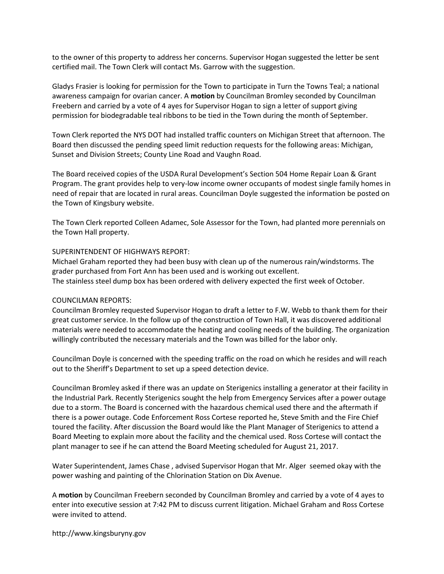to the owner of this property to address her concerns. Supervisor Hogan suggested the letter be sent certified mail. The Town Clerk will contact Ms. Garrow with the suggestion.

Gladys Frasier is looking for permission for the Town to participate in Turn the Towns Teal; a national awareness campaign for ovarian cancer. A motion by Councilman Bromley seconded by Councilman Freebern and carried by a vote of 4 ayes for Supervisor Hogan to sign a letter of support giving permission for biodegradable teal ribbons to be tied in the Town during the month of September.

Town Clerk reported the NYS DOT had installed traffic counters on Michigan Street that afternoon. The Board then discussed the pending speed limit reduction requests for the following areas: Michigan, Sunset and Division Streets; County Line Road and Vaughn Road.

The Board received copies of the USDA Rural Development's Section 504 Home Repair Loan & Grant Program. The grant provides help to very-low income owner occupants of modest single family homes in need of repair that are located in rural areas. Councilman Doyle suggested the information be posted on the Town of Kingsbury website.

The Town Clerk reported Colleen Adamec, Sole Assessor for the Town, had planted more perennials on the Town Hall property.

## SUPERINTENDENT OF HIGHWAYS REPORT:

Michael Graham reported they had been busy with clean up of the numerous rain/windstorms. The grader purchased from Fort Ann has been used and is working out excellent. The stainless steel dump box has been ordered with delivery expected the first week of October.

## COUNCILMAN REPORTS:

Councilman Bromley requested Supervisor Hogan to draft a letter to F.W. Webb to thank them for their great customer service. In the follow up of the construction of Town Hall, it was discovered additional materials were needed to accommodate the heating and cooling needs of the building. The organization willingly contributed the necessary materials and the Town was billed for the labor only.

Councilman Doyle is concerned with the speeding traffic on the road on which he resides and will reach out to the Sheriff's Department to set up a speed detection device.

Councilman Bromley asked if there was an update on Sterigenics installing a generator at their facility in the Industrial Park. Recently Sterigenics sought the help from Emergency Services after a power outage due to a storm. The Board is concerned with the hazardous chemical used there and the aftermath if there is a power outage. Code Enforcement Ross Cortese reported he, Steve Smith and the Fire Chief toured the facility. After discussion the Board would like the Plant Manager of Sterigenics to attend a Board Meeting to explain more about the facility and the chemical used. Ross Cortese will contact the plant manager to see if he can attend the Board Meeting scheduled for August 21, 2017.

Water Superintendent, James Chase , advised Supervisor Hogan that Mr. Alger seemed okay with the power washing and painting of the Chlorination Station on Dix Avenue.

A motion by Councilman Freebern seconded by Councilman Bromley and carried by a vote of 4 ayes to enter into executive session at 7:42 PM to discuss current litigation. Michael Graham and Ross Cortese were invited to attend.

http://www.kingsburyny.gov